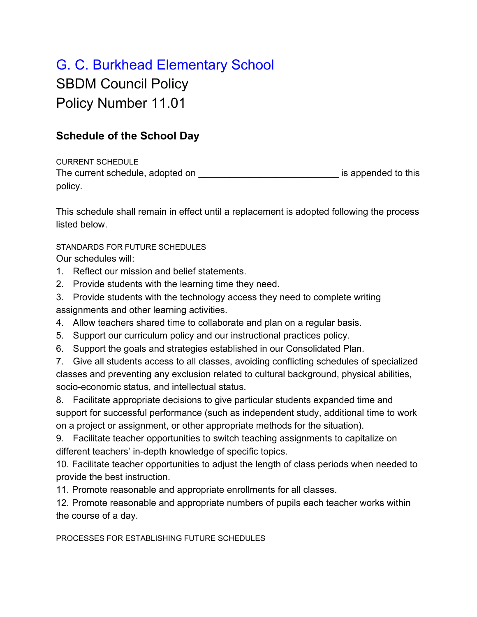## G. C. Burkhead Elementary School

SBDM Council Policy Policy Number 11.01

## **Schedule of the School Day**

CURRENT SCHEDULE The current schedule, adopted on **The current schedule**, adopted on policy.

This schedule shall remain in effect until a replacement is adopted following the process listed below.

STANDARDS FOR FUTURE SCHEDULES

Our schedules will:

- 1. Reflect our mission and belief statements.
- 2. Provide students with the learning time they need.
- 3. Provide students with the technology access they need to complete writing assignments and other learning activities.
- 4. Allow teachers shared time to collaborate and plan on a regular basis.
- 5. Support our curriculum policy and our instructional practices policy.
- 6. Support the goals and strategies established in our Consolidated Plan.

7. Give all students access to all classes, avoiding conflicting schedules of specialized classes and preventing any exclusion related to cultural background, physical abilities, socio-economic status, and intellectual status.

8. Facilitate appropriate decisions to give particular students expanded time and support for successful performance (such as independent study, additional time to work on a project or assignment, or other appropriate methods for the situation).

9. Facilitate teacher opportunities to switch teaching assignments to capitalize on different teachers' in-depth knowledge of specific topics.

10. Facilitate teacher opportunities to adjust the length of class periods when needed to provide the best instruction.

11. Promote reasonable and appropriate enrollments for all classes.

12. Promote reasonable and appropriate numbers of pupils each teacher works within the course of a day.

PROCESSES FOR ESTABLISHING FUTURE SCHEDULES